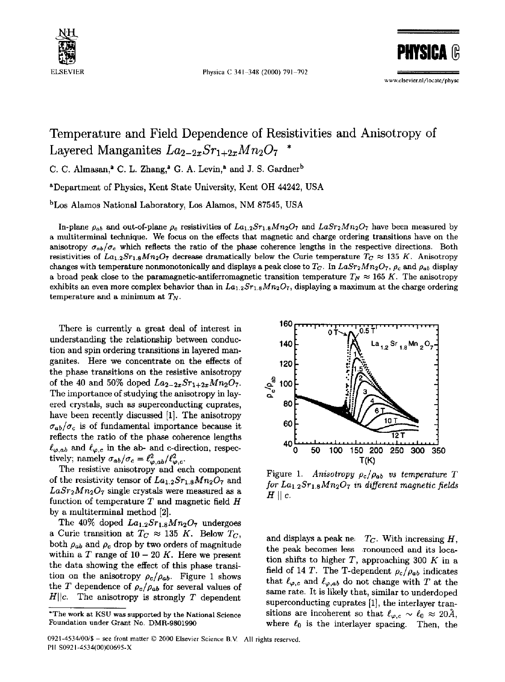

ELSEVIER Physica C 341-348 (2000) 791-792

**PHYSI** 

www.elsevier.nl/locate/physe

## Temperature and Field Dependence of Resistivities and Anisotropy of Layered Manganites  $La_{2-2x}Sr_{1+2x}Mn_2O_7$

C. C. Almasan,<sup>2</sup> C. L. Zhang,<sup>2</sup> G. A. Levin,<sup>2</sup> and J. S. Gardner<sup>b</sup>

~Department of Physics, Kent State University, Kent OH 44242, USA

bLos Alamos National Laboratory, Los Alamos, NM 87545, USA

In-plane  $\rho_{ab}$  and out-of-plane  $\rho_c$  resistivities of  $La_{1,2}Sr_{1,8}Mn_2O_7$  and  $LaSr_2Mn_2O_7$  have been measured by a multiterminal technique. We focus on the effects that magnetic and charge ordering transitions have on the anisotropy  $\sigma_{ab}/\sigma_c$  which reflects the ratio of the phase coherence lengths in the respective directions. Both resistivities of  $La_{1,2}Sr_{1,8}Mn_2O_7$  decrease dramatically below the Curie temperature  $T_C \approx 135$  K. Anisotropy changes with temperature nonmonotonically and displays a peak close to  $T_C$ . In  $Lasr_2Mn_2O_7$ ,  $\rho_c$  and  $\rho_{ab}$  display a broad peak close to the paramagnetic-antiferromagnetic transition temperature  $T_N \approx 165$  K. The anisotropy exhibits an even more complex behavior than in  $La_{1,2}Sr_{1,8}Mn_2O_7$ , displaying a maximum at the charge ordering temperature and a minimum at  $T_N$ .

There is currently a great deal of interest in understanding the relationship between conduction and spin ordering transitions in layered manganites. Here we concentrate on the effects of the phase transitions on the resistive anisotropy of the 40 and 50% doped  $La_{2-2x}Sr_{1+2x}Mn_2O_7$ . The importance of studying the anisotropy in layered crystals, such as superconducting cuprates, have been recently discussed [1]. The anisotropy  $\sigma_{ab}/\sigma_c$  is of fundamental importance because it reflects the ratio of the phase coherence lengths  $\ell_{\varphi,ab}$  and  $\ell_{\varphi,c}$  in the ab- and c-direction, respectively; namely  $\sigma_{ab}/\sigma_c = \ell_{\varphi, ab}^2/\ell_{\varphi, c}^2$ .

The resistive anisotropy and each component of the resistivity tensor of  $La_{1.2}Sr_{1.8}Mn_2O_7$  and  $LaSr<sub>2</sub>Mn<sub>2</sub>O<sub>7</sub>$  single crystals were measured as a function of temperature  $T$  and magnetic field  $H$ by a multiterminal method [2].

The  $40\%$  doped  $La_{1.2}Sr_{1.8}Mn_2O_7$  undergoes a Curie transition at  $T_C \approx 135$  K. Below  $T_C$ , both  $\rho_{ab}$  and  $\rho_c$  drop by two orders of magnitude within a T range of  $10 - 20 K$ . Here we present the data showing the effect of this phase transition on the anisotropy  $\rho_c/\rho_{ab}$ . Figure 1 shows the T dependence of  $\rho_c/\rho_{ab}$  for several values of  $H||c$ . The anisotropy is strongly T dependent



Figure 1. *Anisotropy Pc/Pab VS temperature T for Lal.2Srl.sMn207 in different magnetic fields*   $H \parallel c$ .

and displays a peak ne $T_C$ . With increasing H, the peak becomes less ronounced and its location shifts to higher  $T$ , approaching 300  $K$  in a field of 14 T. The T-dependent  $\rho_c/\rho_{ab}$  indicates that  $\ell_{\varphi,c}$  and  $\ell_{\varphi,ab}$  do not change with T at the same rate. It is likely that, similar to underdoped superconducting cuprates [1], the interlayer transitions are incoherent so that  $\ell_{\varphi,c} \sim \ell_0 \approx 20\text{\AA}$ , where  $\ell_0$  is the interlayer spacing. Then, the

<sup>\*</sup>The work at KSU was supported by the National Science Foundation under Grant No. DMR-9801990